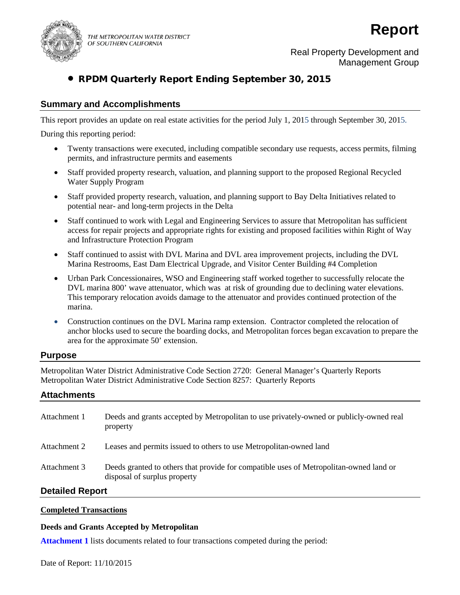

THE METROPOLITAN WATER DISTRICT OF SOUTHERN CALIFORNIA

# **Report**

Real Property Development and Management Group

# • RPDM Quarterly Report Ending September 30, 2015

# **Summary and Accomplishments**

This report provides an update on real estate activities for the period July 1, 2015 through September 30, 2015.

During this reporting period:

- Twenty transactions were executed, including compatible secondary use requests, access permits, filming permits, and infrastructure permits and easements
- Staff provided property research, valuation, and planning support to the proposed Regional Recycled Water Supply Program
- Staff provided property research, valuation, and planning support to Bay Delta Initiatives related to potential near- and long-term projects in the Delta
- Staff continued to work with Legal and Engineering Services to assure that Metropolitan has sufficient access for repair projects and appropriate rights for existing and proposed facilities within Right of Way and Infrastructure Protection Program
- Staff continued to assist with DVL Marina and DVL area improvement projects, including the DVL Marina Restrooms, East Dam Electrical Upgrade, and Visitor Center Building #4 Completion
- Urban Park Concessionaires, WSO and Engineering staff worked together to successfully relocate the DVL marina 800' wave attenuator, which was at risk of grounding due to declining water elevations. This temporary relocation avoids damage to the attenuator and provides continued protection of the marina.
- Construction continues on the DVL Marina ramp extension. Contractor completed the relocation of anchor blocks used to secure the boarding docks, and Metropolitan forces began excavation to prepare the area for the approximate 50' extension.

# **Purpose**

Metropolitan Water District Administrative Code Section 2720: General Manager's Quarterly Reports Metropolitan Water District Administrative Code Section 8257: Quarterly Reports

# **Attachments**

| Attachment 1 | Deeds and grants accepted by Metropolitan to use privately-owned or publicly-owned real<br>property                    |
|--------------|------------------------------------------------------------------------------------------------------------------------|
| Attachment 2 | Leases and permits issued to others to use Metropolitan-owned land                                                     |
| Attachment 3 | Deeds granted to others that provide for compatible uses of Metropolitan-owned land or<br>disposal of surplus property |
|              |                                                                                                                        |

# **Detailed Report**

## **Completed Transactions**

## **Deeds and Grants Accepted by Metropolitan**

**Attachment 1** lists documents related to four transactions competed during the period: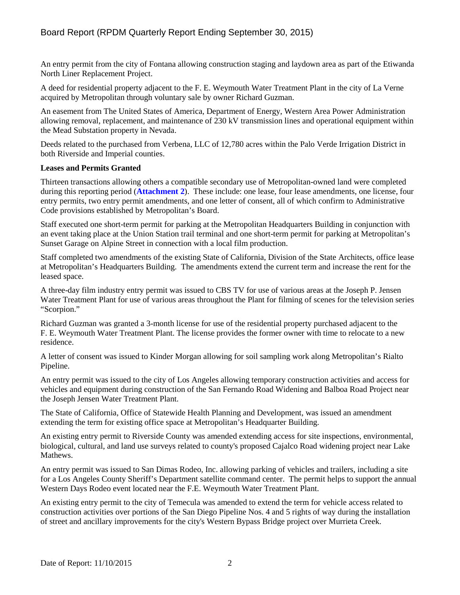An entry permit from the city of Fontana allowing construction staging and laydown area as part of the Etiwanda North Liner Replacement Project.

A deed for residential property adjacent to the F. E. Weymouth Water Treatment Plant in the city of La Verne acquired by Metropolitan through voluntary sale by owner Richard Guzman.

An easement from The United States of America, Department of Energy, Western Area Power Administration allowing removal, replacement, and maintenance of 230 kV transmission lines and operational equipment within the Mead Substation property in Nevada.

Deeds related to the purchased from Verbena, LLC of 12,780 acres within the Palo Verde Irrigation District in both Riverside and Imperial counties.

## **Leases and Permits Granted**

Thirteen transactions allowing others a compatible secondary use of Metropolitan-owned land were completed during this reporting period (**Attachment 2**). These include: one lease, four lease amendments, one license, four entry permits, two entry permit amendments, and one letter of consent, all of which confirm to Administrative Code provisions established by Metropolitan's Board.

Staff executed one short-term permit for parking at the Metropolitan Headquarters Building in conjunction with an event taking place at the Union Station trail terminal and one short-term permit for parking at Metropolitan's Sunset Garage on Alpine Street in connection with a local film production.

Staff completed two amendments of the existing State of California, Division of the State Architects, office lease at Metropolitan's Headquarters Building. The amendments extend the current term and increase the rent for the leased space.

A three-day film industry entry permit was issued to CBS TV for use of various areas at the Joseph P. Jensen Water Treatment Plant for use of various areas throughout the Plant for filming of scenes for the television series "Scorpion."

Richard Guzman was granted a 3-month license for use of the residential property purchased adjacent to the F. E. Weymouth Water Treatment Plant. The license provides the former owner with time to relocate to a new residence.

A letter of consent was issued to Kinder Morgan allowing for soil sampling work along Metropolitan's Rialto Pipeline.

An entry permit was issued to the city of Los Angeles allowing temporary construction activities and access for vehicles and equipment during construction of the San Fernando Road Widening and Balboa Road Project near the Joseph Jensen Water Treatment Plant.

The State of California, Office of Statewide Health Planning and Development, was issued an amendment extending the term for existing office space at Metropolitan's Headquarter Building.

An existing entry permit to Riverside County was amended extending access for site inspections, environmental, biological, cultural, and land use surveys related to county's proposed Cajalco Road widening project near Lake Mathews.

An entry permit was issued to San Dimas Rodeo, Inc. allowing parking of vehicles and trailers, including a site for a Los Angeles County Sheriff's Department satellite command center. The permit helps to support the annual Western Days Rodeo event located near the F.E. Weymouth Water Treatment Plant.

An existing entry permit to the city of Temecula was amended to extend the term for vehicle access related to construction activities over portions of the San Diego Pipeline Nos. 4 and 5 rights of way during the installation of street and ancillary improvements for the city's Western Bypass Bridge project over Murrieta Creek.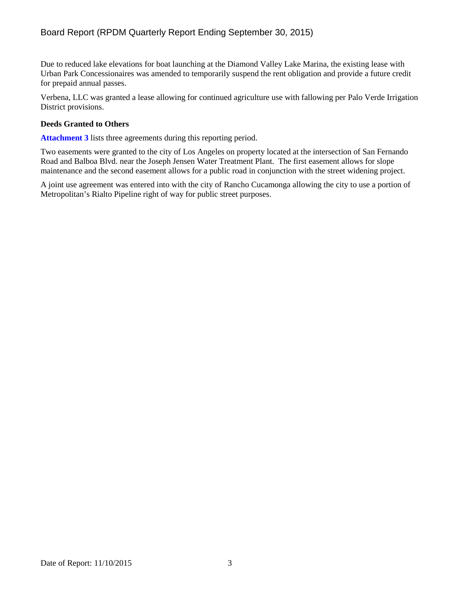Due to reduced lake elevations for boat launching at the Diamond Valley Lake Marina, the existing lease with Urban Park Concessionaires was amended to temporarily suspend the rent obligation and provide a future credit for prepaid annual passes.

Verbena, LLC was granted a lease allowing for continued agriculture use with fallowing per Palo Verde Irrigation District provisions.

## **Deeds Granted to Others**

**Attachment 3** lists three agreements during this reporting period.

Two easements were granted to the city of Los Angeles on property located at the intersection of San Fernando Road and Balboa Blvd. near the Joseph Jensen Water Treatment Plant. The first easement allows for slope maintenance and the second easement allows for a public road in conjunction with the street widening project.

A joint use agreement was entered into with the city of Rancho Cucamonga allowing the city to use a portion of Metropolitan's Rialto Pipeline right of way for public street purposes.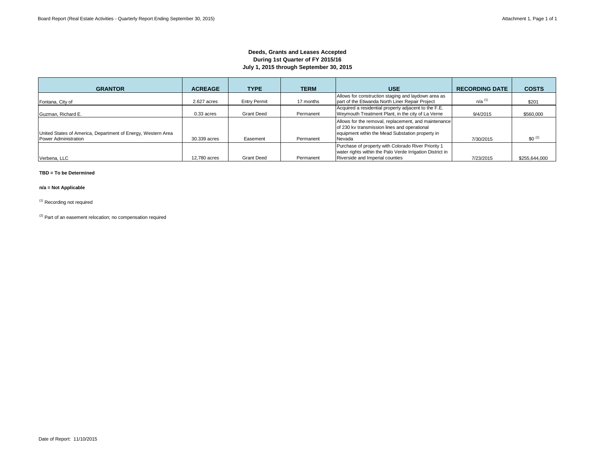## **Deeds, Grants and Leases Accepted During 1st Quarter of FY 2015/16 July 1, 2015 through September 30, 2015**

| <b>GRANTOR</b>                                                                       | <b>ACREAGE</b> | <b>TYPE</b>         | <b>TERM</b> | <b>USE</b>                                                                                                                                                        | <b>RECORDING DATE</b> | <b>COSTS</b>  |
|--------------------------------------------------------------------------------------|----------------|---------------------|-------------|-------------------------------------------------------------------------------------------------------------------------------------------------------------------|-----------------------|---------------|
| Fontana, City of                                                                     | 2.627 acres    | <b>Entry Permit</b> | 17 months   | Allows for construction staging and laydown area as<br>part of the Etiwanda North Liner Repair Project                                                            | $n/a$ <sup>(1)</sup>  | \$201         |
| Guzman, Richard E.                                                                   | $0.33$ acres   | <b>Grant Deed</b>   | Permanent   | Acquired a residential property adjacent to the F.E.<br>Weymouth Treatment Plant, in the city of La Verne                                                         | 9/4/2015              | \$560,000     |
| United States of America, Department of Energy, Western Area<br>Power Administration | 30,339 acres   | Easement            | Permanent   | Allows for the removal, replacement, and maintenance<br>of 230 kv transmission lines and operational<br>equipment wthin the Mead Substation property in<br>Nevada |                       | $$0^{(2)}$    |
|                                                                                      |                |                     |             | Purchase of property with Colorado River Priority 1                                                                                                               | 7/30/2015             |               |
| Verbena, LLC                                                                         | 12,780 acres   | <b>Grant Deed</b>   | Permanent   | water rights within the Palo Verde Irrigation District in<br>Riverside and Imperial counties                                                                      | 7/23/2015             | \$255,644,000 |

#### **TBD = To be Determined**

#### **n/a = Not Applicable**

(1) Recording not required

 $(2)$  Part of an easement relocation; no compensation required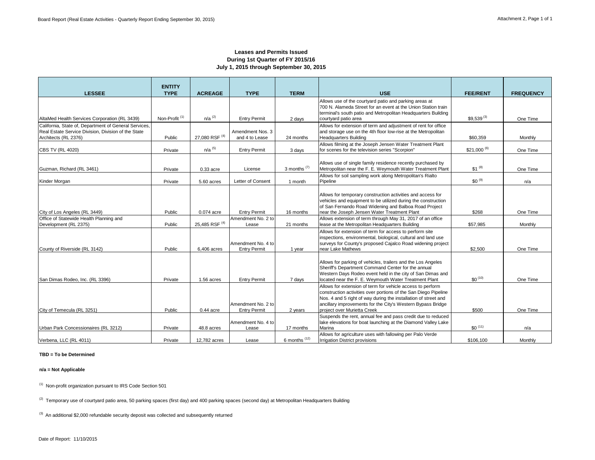## **Leases and Permits Issued During 1st Quarter of FY 2015/16 July 1, 2015 through September 30, 2015**

|                                                                                                                                      | <b>ENTITY</b>             |                           |                                           |                                         |                                                                                                                                                                                                                                                                                                |                 |                  |
|--------------------------------------------------------------------------------------------------------------------------------------|---------------------------|---------------------------|-------------------------------------------|-----------------------------------------|------------------------------------------------------------------------------------------------------------------------------------------------------------------------------------------------------------------------------------------------------------------------------------------------|-----------------|------------------|
| <b>LESSEE</b>                                                                                                                        | <b>TYPE</b>               | <b>ACREAGE</b>            | <b>TYPE</b>                               | <b>TERM</b>                             | <b>USE</b>                                                                                                                                                                                                                                                                                     | <b>FEE/RENT</b> | <b>FREQUENCY</b> |
| AltaMed Health Services Corporation (RL 3439)                                                                                        | Non-Profit <sup>(1)</sup> | $n/a$ <sup>(2)</sup>      | <b>Entry Permit</b>                       | 2 days                                  | Allows use of the courtyard patio and parking areas at<br>700 N. Alameda Street for an event at the Union Station train<br>terminal's south patio and Metropolitan Headquarters Building<br>courtyard patio area                                                                               | $$9,539^{(3)}$  | One Time         |
| California, State of, Department of General Services,<br>Real Estate Service Division, Division of the State<br>Architects (RL 2376) | Public                    | 27,080 RSF (4)            | Amendment Nos. 3<br>and 4 to Lease        | 24 months                               | Allows for extension of term and adjustment of rent for office<br>and storage use on the 4th floor low-rise at the Metropolitan<br><b>Headquarters Building</b>                                                                                                                                | \$60,359        | Monthly          |
| <b>CBS TV (RL 4020)</b>                                                                                                              | Private                   | $n/a$ <sup>(5)</sup>      | <b>Entry Permit</b>                       | 3 days                                  | Allows filming at the Joseph Jensen Water Treatment Plant<br>for scenes for the television series "Scorpion"                                                                                                                                                                                   | $$21,000^{(6)}$ | One Time         |
| Guzman, Richard (RL 3461)                                                                                                            | Private                   | 0.33 acre                 | License                                   | 3 months $(7)$                          | Allows use of single family residence recently purchased by<br>Metropolitan near the F. E. Weymouth Water Treatment Plant<br>Allows for soil sampling work along Metropolitan's Rialto                                                                                                         | $$1^{(8)}$      | One Time         |
| Kinder Morgan                                                                                                                        | Private                   | 5.60 acres                | Letter of Consent                         | 1 month                                 | Pipeline                                                                                                                                                                                                                                                                                       | $$0^{(9)}$      | n/a              |
| City of Los Angeles (RL 3449)                                                                                                        | Public                    | $0.074$ acre              | <b>Entry Permit</b>                       | 16 months                               | Allows for temporary construction activities and access for<br>vehicles and equipment to be utilized during the construction<br>of San Fernando Road Widening and Balboa Road Project<br>near the Joseph Jensen Water Treatment Plant                                                          | \$268           | One Time         |
| Office of Statewide Health Planning and                                                                                              |                           |                           | Amendment No. 2 to                        |                                         | Allows extension of term through May 31, 2017 of an office                                                                                                                                                                                                                                     |                 |                  |
| Development (RL 2375)                                                                                                                | Public                    | 25,485 RSF <sup>(4)</sup> | Lease                                     | 21 months                               | lease at the Metropolitan Headquarters Building                                                                                                                                                                                                                                                | \$57,985        | Monthly          |
| County of Riverside (RL 3142)                                                                                                        | Public                    | 6,406 acres               | Amendment No. 4 to<br><b>Entry Permit</b> | 1 year                                  | Allows for extension of term for access to perform site<br>inspections, environmental, biological, cultural and land use<br>surveys for County's proposed Cajalco Road widening project<br>near Lake Mathews                                                                                   | \$2,500         | One Time         |
| San Dimas Rodeo, Inc. (RL 3396)                                                                                                      | Private                   | 1.56 acres                | <b>Entry Permit</b>                       | 7 days                                  | Allows for parking of vehicles, trailers and the Los Angeles<br>Sheriff's Department Command Center for the annual<br>Western Days Rodeo event held in the city of San Dimas and<br>located near the F. E. Wevmouth Water Treatment Plant                                                      | $$0^{(10)}$     | One Time         |
| City of Temecula (RL 3251)                                                                                                           | Public                    | $0.44$ acre               | Amendment No. 2 to<br><b>Entry Permit</b> | 2 years                                 | Allows for extension of term for vehicle access to perform<br>construction activities over portions of the San Diego Pipeline<br>Nos. 4 and 5 right of way during the installation of street and<br>ancillary improvements for the City's Western Bypass Bridge<br>project over Murietta Creek | \$500           | One Time         |
| Urban Park Concessionaires (RL 3212)                                                                                                 | Private                   | 48.8 acres                | Amendment No. 4 to<br>Lease               | 17 months                               | Suspends the rent, annual fee and pass credit due to reduced<br>lake elevations for boat launching at the Diamond Valley Lake<br>Marina                                                                                                                                                        | $$0^{(11)}$     | n/a              |
| Verbena, LLC (RL 4011)                                                                                                               | Private                   | 12.782 acres              | Lease                                     | $6$ months <sup><math>(12)</math></sup> | Allows for agriculture uses with fallowing per Palo Verde<br><b>Irrigation District provisions</b>                                                                                                                                                                                             | \$106.100       | Monthly          |

#### **TBD = To be Determined**

#### **n/a = Not Applicable**

(1) Non-profit organization pursuant to IRS Code Section 501

<sup>(2)</sup> Temporary use of courtyard patio area, 50 parking spaces (first day) and 400 parking spaces (second day) at Metropolitan Headquarters Building

 $(3)$  An additional \$2,000 refundable security deposit was collected and subsequently returned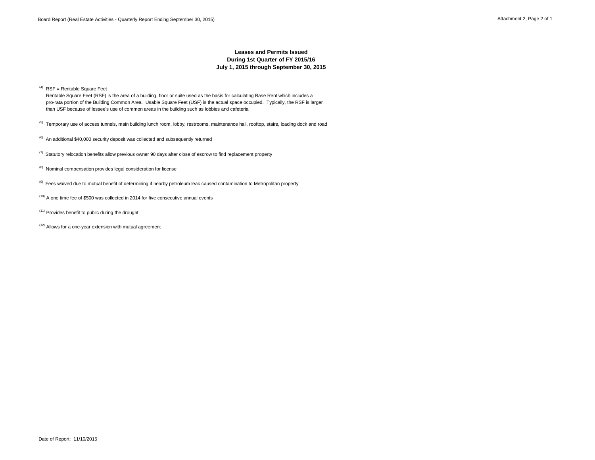## **Leases and Permits Issued During 1st Quarter of FY 2015/16 July 1, 2015 through September 30, 2015**

 $(4)$  RSF = Rentable Square Feet

 Rentable Square Feet (RSF) is the area of a building, floor or suite used as the basis for calculating Base Rent which includes a pro-rata portion of the Building Common Area. Usable Square Feet (USF) is the actual space occupied. Typically, the RSF is larger than USF because of lessee's use of common areas in the building such as lobbies and cafeteria

<sup>(5)</sup> Temporary use of access tunnels, main building lunch room, lobby, restrooms, maintenance hall, rooftop, stairs, loading dock and road

- $(6)$  An additional \$40,000 security deposit was collected and subsequently returned
- $(7)$  Statutory relocation benefits allow previous owner 90 days after close of escrow to find replacement property
- (8) Nominal compensation provides legal consideration for license
- <sup>(9)</sup> Fees waived due to mutual benefit of determining if nearby petroleum leak caused contamination to Metropolitan property
- $(10)$  A one time fee of \$500 was collected in 2014 for five consecutive annual events
- $(11)$  Provides benefit to public during the drought
- $(12)$  Allows for a one-year extension with mutual agreement